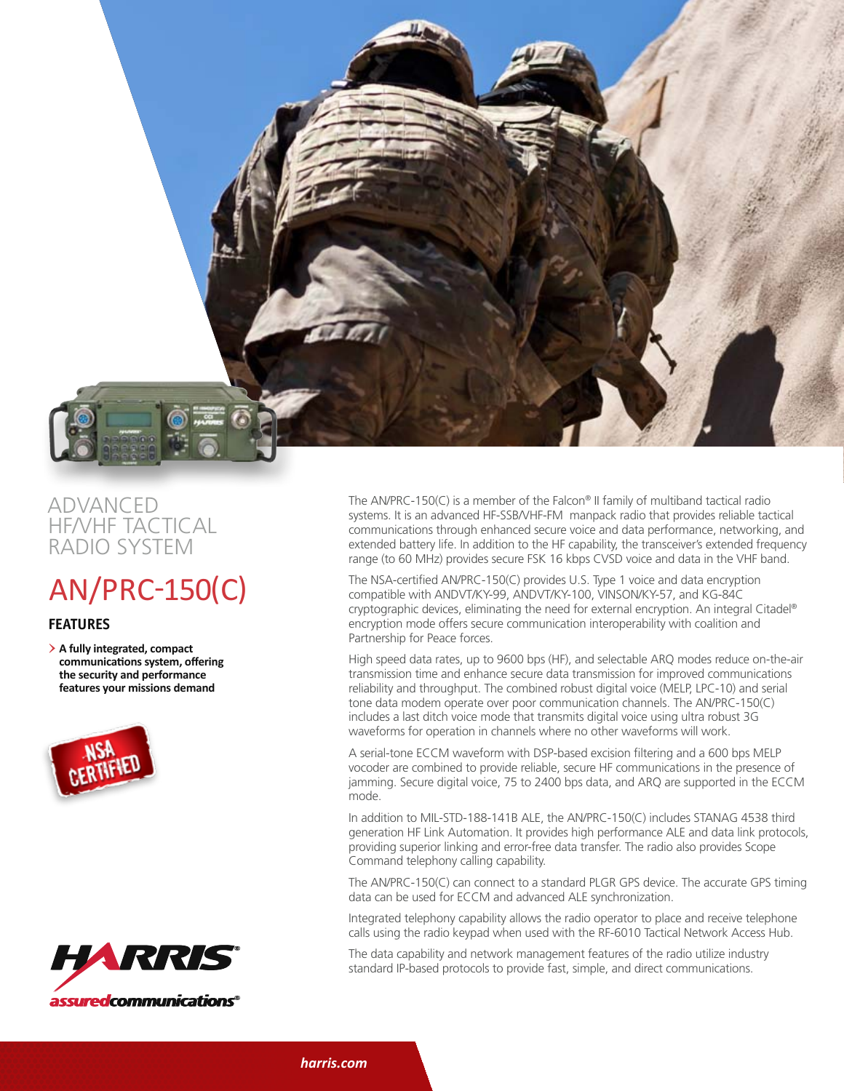

## advanced hf/vhf tactical radio system

## AN/PRC-150(C)

## **features**

> **A fully integrated, compact communications system, offering the security and performance features your missions demand**





The AN/PRC-150(C) is a member of the Falcon® II family of multiband tactical radio systems. It is an advanced HF-SSB/VHF-FM manpack radio that provides reliable tactical communications through enhanced secure voice and data performance, networking, and extended battery life. In addition to the HF capability, the transceiver's extended frequency range (to 60 MHz) provides secure FSK 16 kbps CVSD voice and data in the VHF band.

The NSA-certified AN/PRC-150(C) provides U.S. Type 1 voice and data encryption compatible with ANDVT/KY-99, ANDVT/KY-100, VINSON/KY-57, and KG-84C cryptographic devices, eliminating the need for external encryption. An integral Citadel® encryption mode offers secure communication interoperability with coalition and Partnership for Peace forces.

High speed data rates, up to 9600 bps (HF), and selectable ARQ modes reduce on-the-air transmission time and enhance secure data transmission for improved communications reliability and throughput. The combined robust digital voice (MELP, LPC-10) and serial tone data modem operate over poor communication channels. The AN/PRC-150(C) includes a last ditch voice mode that transmits digital voice using ultra robust 3G waveforms for operation in channels where no other waveforms will work.

A serial-tone ECCM waveform with DSP-based excision filtering and a 600 bps MELP vocoder are combined to provide reliable, secure HF communications in the presence of jamming. Secure digital voice, 75 to 2400 bps data, and ARQ are supported in the ECCM mode.

In addition to MIL-STD-188-141B ALE, the AN/PRC-150(C) includes STANAG 4538 third generation HF Link Automation. It provides high performance ALE and data link protocols, providing superior linking and error-free data transfer. The radio also provides Scope Command telephony calling capability.

The AN/PRC-150(C) can connect to a standard PLGR GPS device. The accurate GPS timing data can be used for ECCM and advanced ALE synchronization.

Integrated telephony capability allows the radio operator to place and receive telephone calls using the radio keypad when used with the RF-6010 Tactical Network Access Hub.

The data capability and network management features of the radio utilize industry standard IP-based protocols to provide fast, simple, and direct communications.

*harris.com*